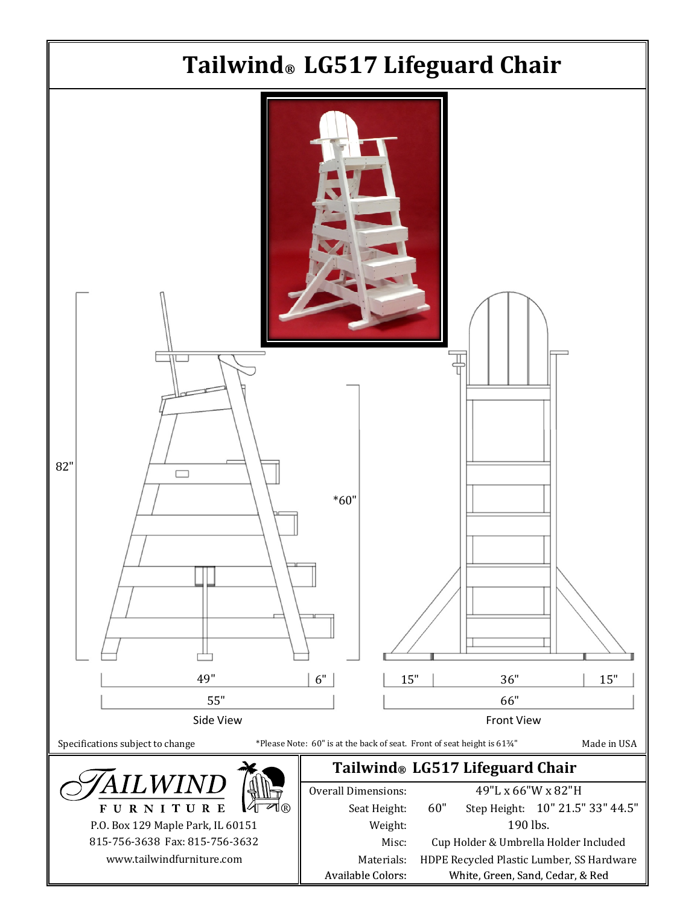